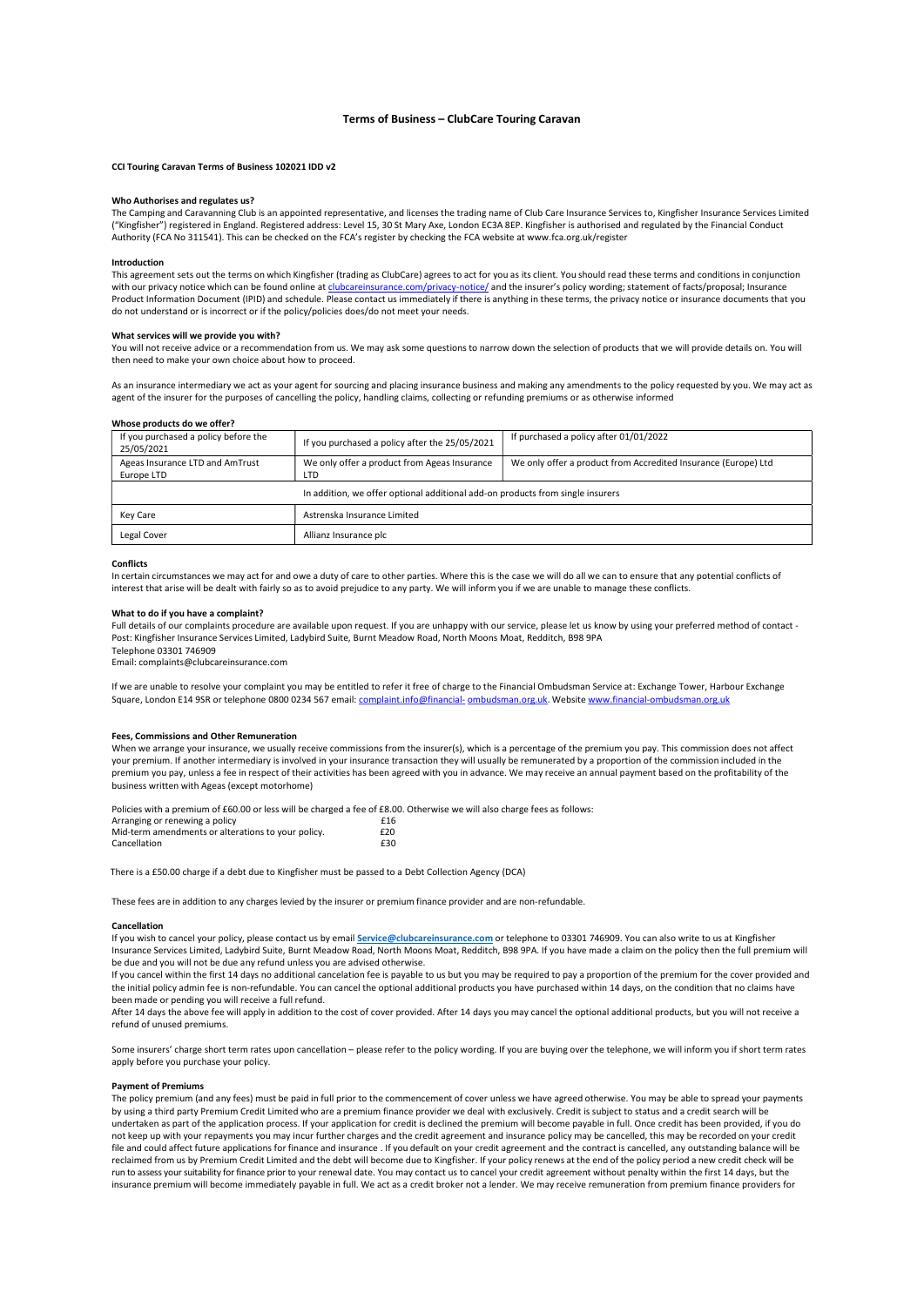# Terms of Business – ClubCare Touring Caravan

## CCI Touring Caravan Terms of Business 102021 IDD v2

# Who Authorises and regulates us?

The Camping and Caravanning Club is an appointed representative, and licenses the trading name of Club Care Insurance Services to, Kingfisher Insurance Services Limited ("Kingfisher") registered in England. Registered address: Level 15, 30 St Mary Axe, London EC3A 8EP. Kingfisher is authorised and regulated by the Financial Conduct Authority (FCA No 311541). This can be checked on the FCA's register by checking the FCA website at www.fca.org.uk/register

## Introduction

This agreement sets out the terms on which Kingfisher (trading as ClubCare) agrees to act for you as its client. You should read these terms and conditions in conjunction<br>with our privacy notice which can be found online a .com/privacy-notice/ and the insurer's policy wording; statement of facts/proposal; Insurance Product Information Document (IPID) and schedule. Please contact us immediately if there is anything in these terms, the privacy notice or insurance documents that you do not understand or is incorrect or if the policy/policies does/do not meet your needs.

## What services will we provide you with?

You will not receive advice or a recommendation from us. We may ask some questions to narrow down the selection of products that we will provide details on. You will then need to make your own choice about how to proceed.

As an insurance intermediary we act as your agent for sourcing and placing insurance business and making any amendments to the policy requested by you. We may act as agent of the insurer for the purposes of cancelling the policy, handling claims, collecting or refunding premiums or as otherwise informed

### Whose products do we offer?

| If you purchased a policy before the<br>25/05/2021                             | If you purchased a policy after the 25/05/2021 | If purchased a policy after 01/01/2022                         |
|--------------------------------------------------------------------------------|------------------------------------------------|----------------------------------------------------------------|
| Ageas Insurance LTD and AmTrust                                                | We only offer a product from Ageas Insurance   | We only offer a product from Accredited Insurance (Europe) Ltd |
| Europe LTD                                                                     | LTD                                            |                                                                |
| In addition, we offer optional additional add-on products from single insurers |                                                |                                                                |
| Key Care                                                                       | Astrenska Insurance Limited                    |                                                                |
| Legal Cover                                                                    | Allianz Insurance plc                          |                                                                |

### Conflicts

In certain circumstances we may act for and owe a duty of care to other parties. Where this is the case we will do all we can to ensure that any potential conflicts of interest that arise will be dealt with fairly so as to avoid prejudice to any party. We will inform you if we are unable to manage these conflicts.

## What to do if you have a complaint?

Full details of our complaints procedure are available upon request. If you are unhappy with our service, please let us know by using your preferred method of contact -Post: Kingfisher Insurance Services Limited, Ladybird Suite, Burnt Meadow Road, North Moons Moat, Redditch, B98 9PA Telephone 03301 746909

Email: complaints@clubcareinsurance.com

If we are unable to resolve your complaint you may be entitled to refer it free of charge to the Financial Ombudsman Service at: Exchange Tower, Harbour Exchange Square, London E14 9SR or telephone 0800 0234 567 email: complaint.info@financial- ombudsman.org.uk. Website www.financial-ombudsman.org.uk

## Fees, Commissions and Other Remuneration

When we arrange your insurance, we usually receive commissions from the insurer(s), which is a percentage of the premium you pay. This commission does not affect your premium. If another intermediary is involved in your insurance transaction they will usually be remunerated by a proportion of the commission included in the premium you pay, unless a fee in respect of their activities has been agreed with you in advance. We may receive an annual payment based on the profitability of the business written with Ageas (except motorhome)

Policies with a premium of £60.00 or less will be charged a fee of £8.00. Otherwise we will also charge fees as follows:

| Arranging or renewing a policy                     | £16 |
|----------------------------------------------------|-----|
| Mid-term amendments or alterations to your policy. | £20 |
| Cancellation                                       | £30 |

There is a £50.00 charge if a debt due to Kingfisher must be passed to a Debt Collection Agency (DCA)

These fees are in addition to any charges levied by the insurer or premium finance provider and are non-refundable.

## Cancellation

If you wish to cancel your policy, please contact us by email Service@clubcareinsurance.com or telephone to 03301 746909. You can also write to us at Kingfisher Insurance Services Limited, Ladybird Suite, Burnt Meadow Road, North Moons Moat, Redditch, B98 9PA. If you have made a claim on the policy then the full premium will be due and you will not be due any refund unless you are advised otherwise.

If you cancel within the first 14 days no additional cancelation fee is payable to us but you may be required to pay a proportion of the premium for the cover provided and the initial policy admin fee is non-refundable. You can cancel the optional additional products you have purchased within 14 days, on the condition that no claims have been made or pending you will receive a full refund.

After 14 days the above fee will apply in addition to the cost of cover provided. After 14 days you may cancel the optional additional products, but you will not receive a refund of unused premiums.

Some insurers' charge short term rates upon cancellation – please refer to the policy wording. If you are buying over the telephone, we will inform you if short term rates apply before you purchase your policy.

## Payment of Premiums

The policy premium (and any fees) must be paid in full prior to the commencement of cover unless we have agreed otherwise. You may be able to spread your payments by using a third party Premium Credit Limited who are a premium finance provider we deal with exclusively. Credit is subject to status and a credit search will be undertaken as part of the application process. If your application for credit is declined the premium will become payable in full. Once credit has been provided, if you do not keep up with your repayments you may incur further charges and the credit agreement and insurance policy may be cancelled, this may be recorded on your credit file and could affect future applications for finance and insurance . If you default on your credit agreement and the contract is cancelled, any outstanding balance will be reclaimed from us by Premium Credit Limited and the debt will become due to Kingfisher. If your policy renews at the end of the policy period a new credit check will be run to assess your suitability for finance prior to your renewal date. You may contact us to cancel your credit agreement without penalty within the first 14 days, but the insurance premium will become immediately payable in full. We act as a credit broker not a lender. We may receive remuneration from premium finance providers for